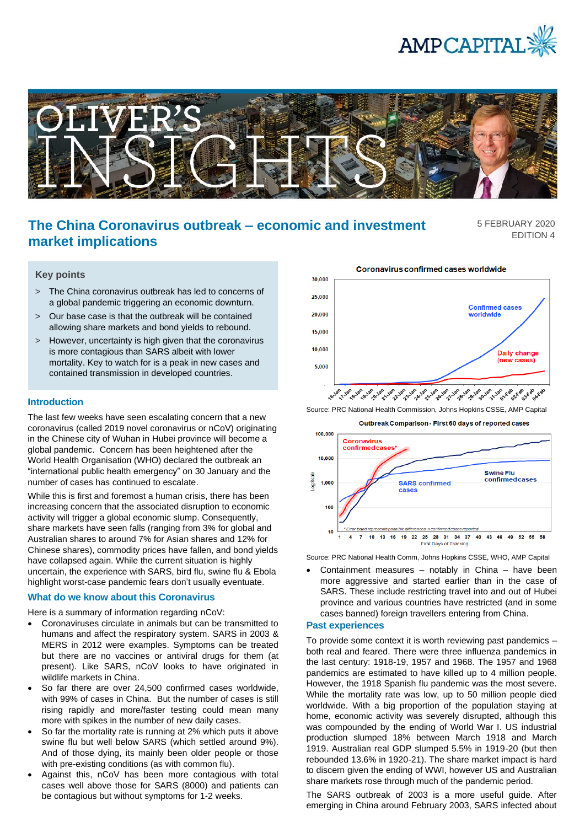



# **The China Coronavirus outbreak – economic and investment market implications**

5 FEBRUARY 2020 EDITION 4

## **Key points**

- > The China coronavirus outbreak has led to concerns of a global pandemic triggering an economic downturn.
- > Our base case is that the outbreak will be contained allowing share markets and bond yields to rebound.
- > However, uncertainty is high given that the coronavirus is more contagious than SARS albeit with lower mortality. Key to watch for is a peak in new cases and contained transmission in developed countries.

#### **Introduction**

The last few weeks have seen escalating concern that a new coronavirus (called 2019 novel coronavirus or nCoV) originating in the Chinese city of Wuhan in Hubei province will become a global pandemic. Concern has been heightened after the World Health Organisation (WHO) declared the outbreak an "international public health emergency" on 30 January and the number of cases has continued to escalate.

While this is first and foremost a human crisis, there has been increasing concern that the associated disruption to economic activity will trigger a global economic slump. Consequently, share markets have seen falls (ranging from 3% for global and Australian shares to around 7% for Asian shares and 12% for Chinese shares), commodity prices have fallen, and bond yields have collapsed again. While the current situation is highly uncertain, the experience with SARS, bird flu, swine flu & Ebola highlight worst-case pandemic fears don't usually eventuate.

## **What do we know about this Coronavirus**

Here is a summary of information regarding nCoV:

- Coronaviruses circulate in animals but can be transmitted to humans and affect the respiratory system. SARS in 2003 & MERS in 2012 were examples. Symptoms can be treated but there are no vaccines or antiviral drugs for them (at present). Like SARS, nCoV looks to have originated in wildlife markets in China.
- So far there are over 24,500 confirmed cases worldwide, with 99% of cases in China. But the number of cases is still rising rapidly and more/faster testing could mean many more with spikes in the number of new daily cases.
- So far the mortality rate is running at 2% which puts it above swine flu but well below SARS (which settled around 9%). And of those dying, its mainly been older people or those with pre-existing conditions (as with common flu).
- Against this, nCoV has been more contagious with total cases well above those for SARS (8000) and patients can be contagious but without symptoms for 1-2 weeks.



Source: PRC National Health Commission, Johns Hopkins CSSE, AMP Capital





Source: PRC National Health Comm, Johns Hopkins CSSE, WHO, AMP Capital

• Containment measures – notably in China – have been more aggressive and started earlier than in the case of SARS. These include restricting travel into and out of Hubei province and various countries have restricted (and in some cases banned) foreign travellers entering from China.

#### **Past experiences**

To provide some context it is worth reviewing past pandemics – both real and feared. There were three influenza pandemics in the last century: 1918-19, 1957 and 1968. The 1957 and 1968 pandemics are estimated to have killed up to 4 million people. However, the 1918 Spanish flu pandemic was the most severe. While the mortality rate was low, up to 50 million people died worldwide. With a big proportion of the population staying at home, economic activity was severely disrupted, although this was compounded by the ending of World War I. US industrial production slumped 18% between March 1918 and March 1919. Australian real GDP slumped 5.5% in 1919-20 (but then rebounded 13.6% in 1920-21). The share market impact is hard to discern given the ending of WWI, however US and Australian share markets rose through much of the pandemic period.

The SARS outbreak of 2003 is a more useful guide. After emerging in China around February 2003, SARS infected about